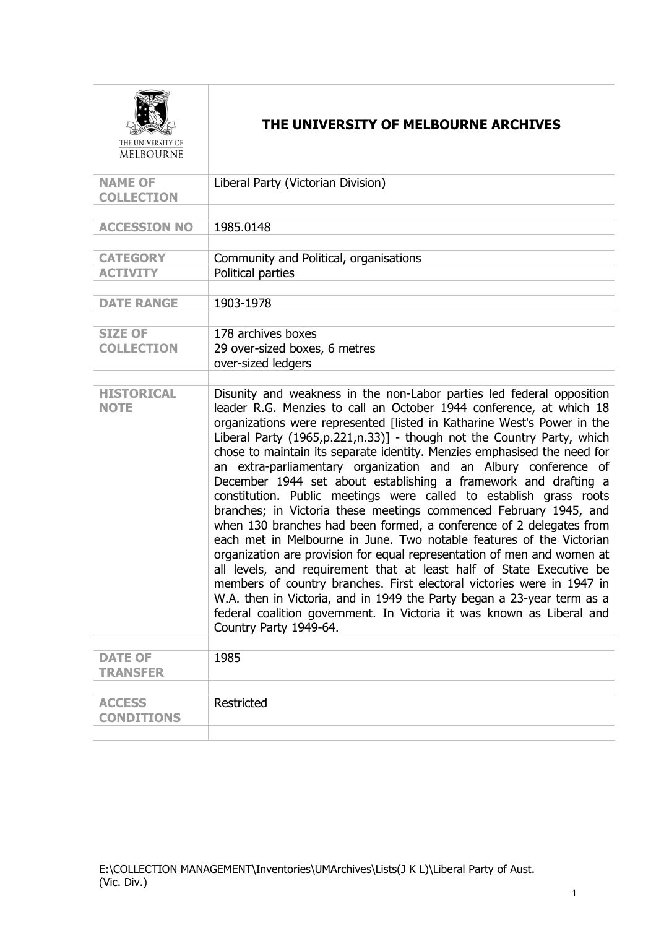| THE UNIVERSITY OF<br><b>MELBOURNE</b> | THE UNIVERSITY OF MELBOURNE ARCHIVES                                                                                                                                                                                                                                                                                                                                                                                                                                                                                                                                                                                                                                                                                                                                                                                                                                                                                                                                                                                                                                                                                                                                                                                        |
|---------------------------------------|-----------------------------------------------------------------------------------------------------------------------------------------------------------------------------------------------------------------------------------------------------------------------------------------------------------------------------------------------------------------------------------------------------------------------------------------------------------------------------------------------------------------------------------------------------------------------------------------------------------------------------------------------------------------------------------------------------------------------------------------------------------------------------------------------------------------------------------------------------------------------------------------------------------------------------------------------------------------------------------------------------------------------------------------------------------------------------------------------------------------------------------------------------------------------------------------------------------------------------|
| <b>NAME OF</b><br><b>COLLECTION</b>   | Liberal Party (Victorian Division)                                                                                                                                                                                                                                                                                                                                                                                                                                                                                                                                                                                                                                                                                                                                                                                                                                                                                                                                                                                                                                                                                                                                                                                          |
| <b>ACCESSION NO</b>                   | 1985.0148                                                                                                                                                                                                                                                                                                                                                                                                                                                                                                                                                                                                                                                                                                                                                                                                                                                                                                                                                                                                                                                                                                                                                                                                                   |
| <b>CATEGORY</b><br><b>ACTIVITY</b>    | Community and Political, organisations<br>Political parties                                                                                                                                                                                                                                                                                                                                                                                                                                                                                                                                                                                                                                                                                                                                                                                                                                                                                                                                                                                                                                                                                                                                                                 |
| <b>DATE RANGE</b>                     | 1903-1978                                                                                                                                                                                                                                                                                                                                                                                                                                                                                                                                                                                                                                                                                                                                                                                                                                                                                                                                                                                                                                                                                                                                                                                                                   |
| <b>SIZE OF</b><br><b>COLLECTION</b>   | 178 archives boxes<br>29 over-sized boxes, 6 metres<br>over-sized ledgers                                                                                                                                                                                                                                                                                                                                                                                                                                                                                                                                                                                                                                                                                                                                                                                                                                                                                                                                                                                                                                                                                                                                                   |
| <b>HISTORICAL</b><br><b>NOTE</b>      | Disunity and weakness in the non-Labor parties led federal opposition<br>leader R.G. Menzies to call an October 1944 conference, at which 18<br>organizations were represented [listed in Katharine West's Power in the<br>Liberal Party (1965, p. 221, n. 33)] - though not the Country Party, which<br>chose to maintain its separate identity. Menzies emphasised the need for<br>an extra-parliamentary organization and an Albury conference of<br>December 1944 set about establishing a framework and drafting a<br>constitution. Public meetings were called to establish grass roots<br>branches; in Victoria these meetings commenced February 1945, and<br>when 130 branches had been formed, a conference of 2 delegates from<br>each met in Melbourne in June. Two notable features of the Victorian<br>organization are provision for equal representation of men and women at<br>all levels, and requirement that at least half of State Executive be<br>members of country branches. First electoral victories were in 1947 in<br>W.A. then in Victoria, and in 1949 the Party began a 23-year term as a<br>federal coalition government. In Victoria it was known as Liberal and<br>Country Party 1949-64. |
| <b>DATE OF</b><br><b>TRANSFER</b>     | 1985                                                                                                                                                                                                                                                                                                                                                                                                                                                                                                                                                                                                                                                                                                                                                                                                                                                                                                                                                                                                                                                                                                                                                                                                                        |
| <b>ACCESS</b>                         | Restricted                                                                                                                                                                                                                                                                                                                                                                                                                                                                                                                                                                                                                                                                                                                                                                                                                                                                                                                                                                                                                                                                                                                                                                                                                  |
| <b>CONDITIONS</b>                     |                                                                                                                                                                                                                                                                                                                                                                                                                                                                                                                                                                                                                                                                                                                                                                                                                                                                                                                                                                                                                                                                                                                                                                                                                             |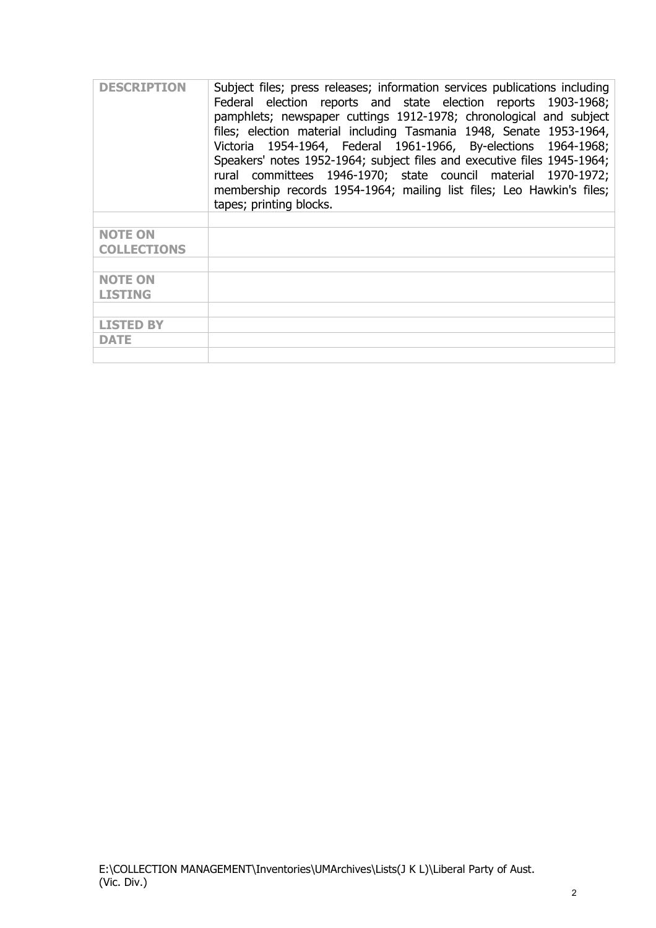| <b>DESCRIPTION</b> | Subject files; press releases; information services publications including<br>Federal election reports and state election reports 1903-1968;<br>pamphlets; newspaper cuttings 1912-1978; chronological and subject<br>files; election material including Tasmania 1948, Senate 1953-1964,<br>Victoria 1954-1964, Federal 1961-1966, By-elections 1964-1968;<br>Speakers' notes 1952-1964; subject files and executive files 1945-1964;<br>rural committees 1946-1970; state council material 1970-1972;<br>membership records 1954-1964; mailing list files; Leo Hawkin's files;<br>tapes; printing blocks. |
|--------------------|-------------------------------------------------------------------------------------------------------------------------------------------------------------------------------------------------------------------------------------------------------------------------------------------------------------------------------------------------------------------------------------------------------------------------------------------------------------------------------------------------------------------------------------------------------------------------------------------------------------|
| <b>NOTE ON</b>     |                                                                                                                                                                                                                                                                                                                                                                                                                                                                                                                                                                                                             |
| <b>COLLECTIONS</b> |                                                                                                                                                                                                                                                                                                                                                                                                                                                                                                                                                                                                             |
|                    |                                                                                                                                                                                                                                                                                                                                                                                                                                                                                                                                                                                                             |
| <b>NOTE ON</b>     |                                                                                                                                                                                                                                                                                                                                                                                                                                                                                                                                                                                                             |
| <b>LISTING</b>     |                                                                                                                                                                                                                                                                                                                                                                                                                                                                                                                                                                                                             |
|                    |                                                                                                                                                                                                                                                                                                                                                                                                                                                                                                                                                                                                             |
| <b>LISTED BY</b>   |                                                                                                                                                                                                                                                                                                                                                                                                                                                                                                                                                                                                             |
| DATE               |                                                                                                                                                                                                                                                                                                                                                                                                                                                                                                                                                                                                             |
|                    |                                                                                                                                                                                                                                                                                                                                                                                                                                                                                                                                                                                                             |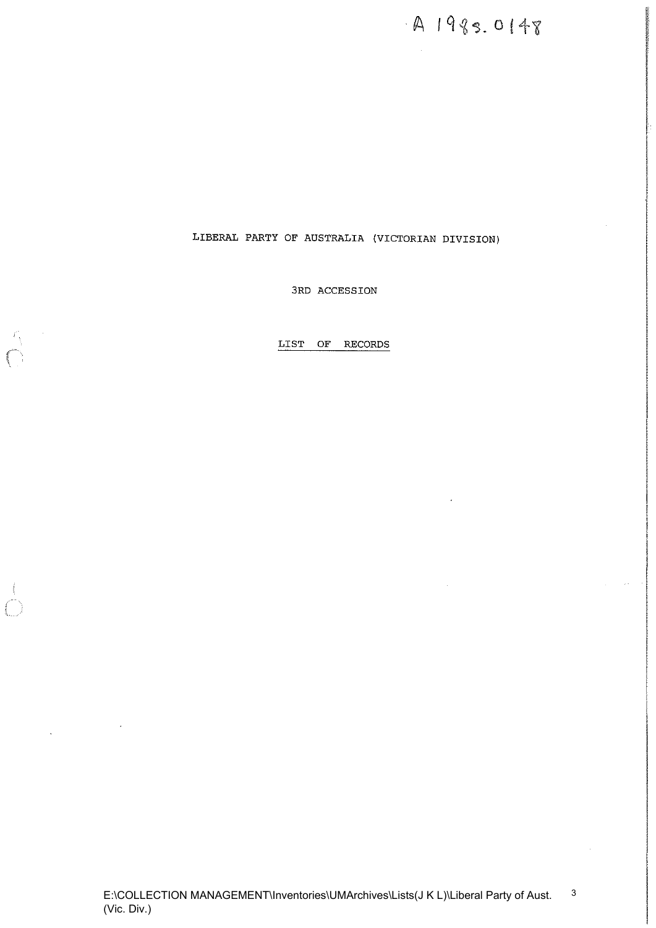A 1985.0148

3RD ACCESSION

LIST OF RECORDS

 $\mathbb{Z}$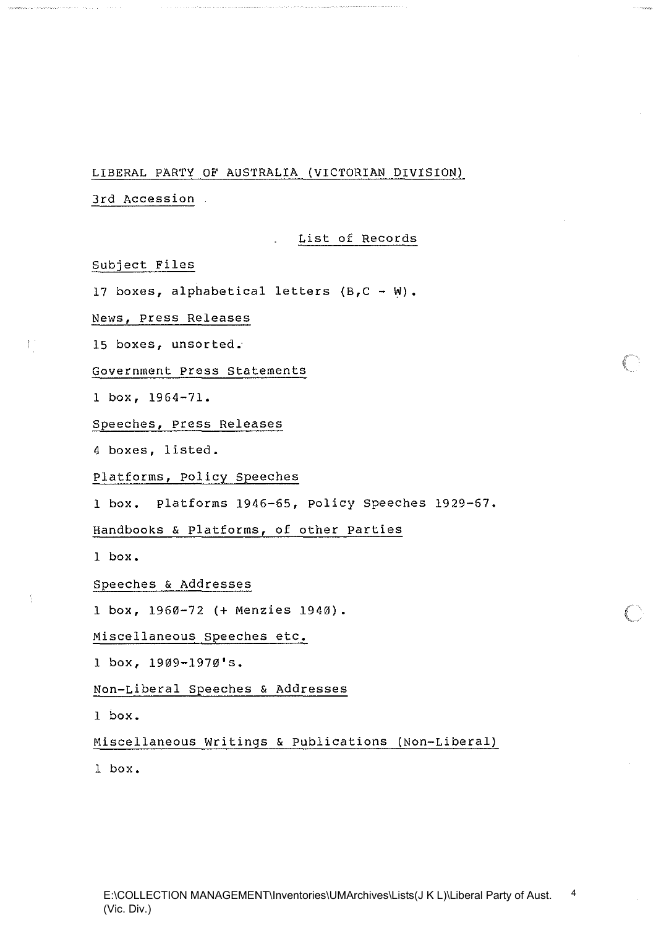÷.

3rd Accession

#### List of Records

Subject Files

 $\mathbb{E}^{\pm}_{\mathbb{Q}}$ 

17 boxes, alphabetical letters  $(B, C - W)$ .

News, press Releases

15 boxes, unsorted.

Government Press Statements

1 box, 1964-7l.

Speeches, Press Releases

4 boxes, listed.

Platforms, policy Speeches

1 box. platforms 1946-65, policy Speeches 1929-67.

Handbooks & platforms, of other parties

1 box.

Speeches & Addresses

1 box, 1960-72 (+ Menzies 1940).

Miscellaneous Speeches etc.

1 box, 1909-l970's.

Non-Liberal Speeches & Addresses

1 box.

Miscellaneous Writings & publications (Non-Liberal)

1 box.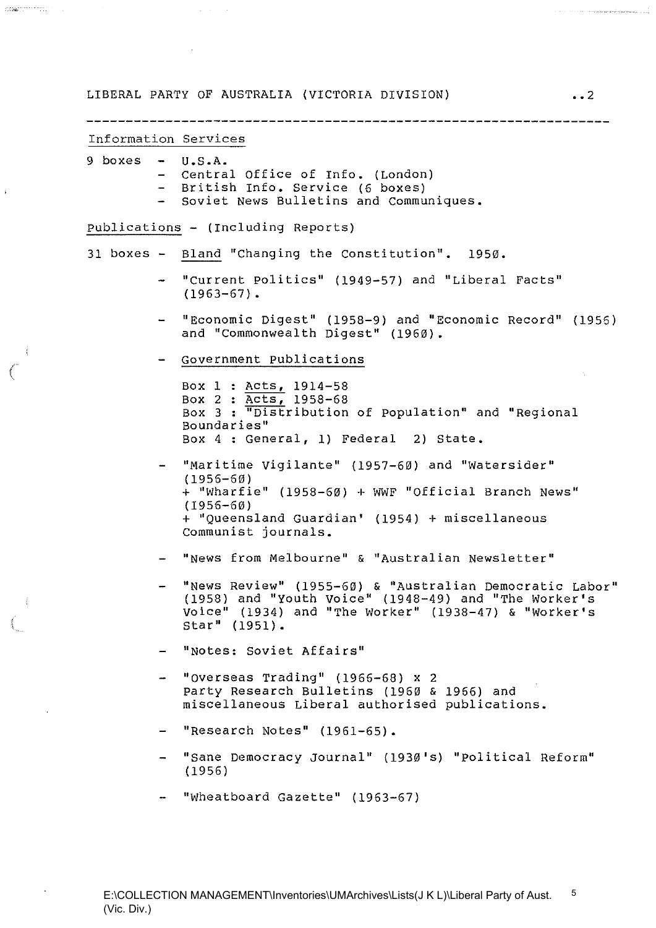LIBERAL PARTY OF AUSTRALIA (VICTORIA DIVISION)  $\ldots$ Information Services 9 boxes **U.S.A.**  Central Office of Info. (London) British Info. Service (6 boxes) - Soviet News Bulletins and Communiques. publications - (Including Reports) 31 boxes - Bland "Changing the Constitution". 1950. "Current politics" (1949-57) and "Liberal Facts"  $\sim$  $(1963-67)$ . "Economic Digest" (1958-9) and "Economic Record" (1956) and "Commonwealth Digest" (1960). Government publications Box 1 Acts, 1914-58 Box 2 : Acts, 1958-68 Box 3 "Distribution of population" and "Regional Boundaries" Box 4 : General, 1) Federal 2) State. "Maritime vigilante" (1957-60) and "Watersider" (1956-60 ) + "Wharfie" (1958-60) + WWF "Official Branch News" (1956-60) + "Queensland Guardian' (1954) + miscellaneous Communist journals. "News from Melbourne" & "Australian Newsletter" "News Review" (1955-60) & "Australian Democratic Labor" (1958) and "Youth voice" (1948-49) and "The Worker's Voice" (1934) and "The Worker" (1938-47) & "Worker's star" (1951). "Notes: Soviet Affairs" "overseas Trading" (1966-68) x 2 party Research Bulletins (1960 & 1956) and miscellaneous Liberal authorised publications. "Research Notes" (1961-65). "sane Democracy Journal" (1930's) "political Reform" (1956) "Wheatboard Gazette" (1963-67)

 $\label{eq:3} \frac{1}{\sqrt{2}}\sum_{i=1}^n\sum_{i=1}^n\frac{1}{\sqrt{2}}\sum_{i=1}^n\frac{1}{\sqrt{2}}\sum_{i=1}^n\frac{1}{\sqrt{2}}\sum_{i=1}^n\frac{1}{\sqrt{2}}\sum_{i=1}^n\frac{1}{\sqrt{2}}\sum_{i=1}^n\frac{1}{\sqrt{2}}\sum_{i=1}^n\frac{1}{\sqrt{2}}\sum_{i=1}^n\frac{1}{\sqrt{2}}\sum_{i=1}^n\frac{1}{\sqrt{2}}\sum_{i=1}^n\frac{1}{\sqrt{2}}\sum_{i$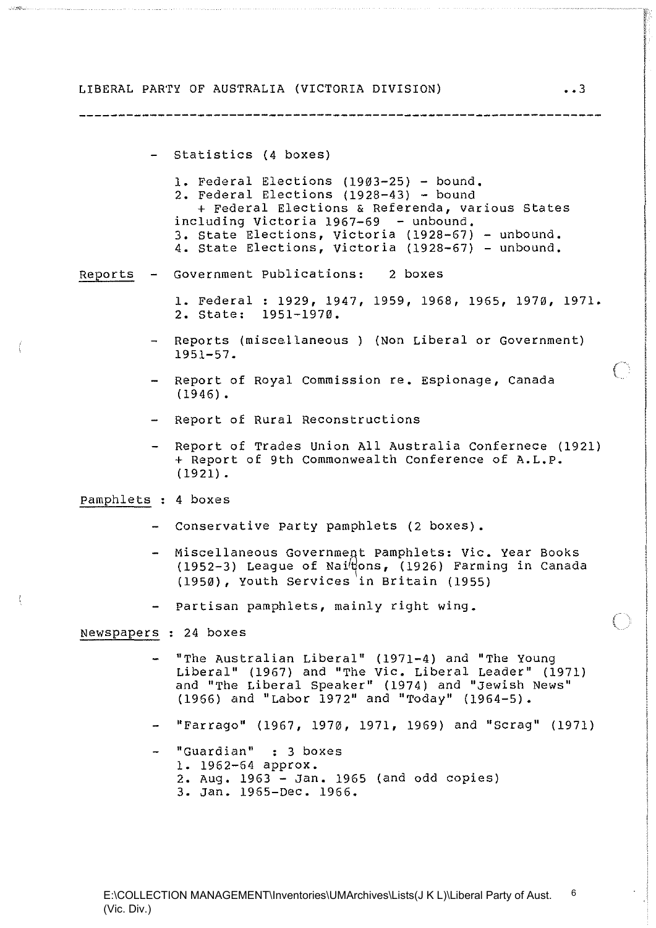- Statistics (4 boxes)

1. Federal Elections (1903-25) - bound. 2. Federal Elections (1928-43) - bound + Federal Elections & Referenda, various States including victoria 1967-69 - unbound. 3. State Elections, Victoria (1928-67) - unbound. 4. State Elections, Victoria (1928-67) - unbound.

#### Reports Government Publications: 2 boxes

- 1. Federal: 1929, 1947, 1959, 1968, 1965, 1970, 1971. 2. State: 1951-1970.
- Reports (misce,llaneous ) (Non Liberal *or* Government) 1951-57.
- Report of Royal Commission re. Espionage, Canada  $(1946)$ .
- Report of Rural Reconstructions
- Report of Trades Union All Australia Confernece (1921) + Report of 9th Commonwealth Conference of A.L.P. (1921) •

pamphlets : 4 boxes

- Conservative Party pamphlets (2 boxes).
- Miscellaneous Government Pamphlets: Vic. Year Books  $(1952-3)$  League of Nai'dons,  $(1926)$  Farming in Canada (1950), Youth Services in Britain (1955)
- partisan pamphlets, mainly right wing.

Newspapers : 24 boxes

- "The Australian Liberal" (1971-4) and "The young Liberal" (1967) and "The Vic. Liberal Leader" (1971) and "The Liberal speaker" (1974) and "Jewish News" (1966) and "Labor 1972" and "Today" (1964-5).
- "Farrago" (1967, 1970, 1971, 1969) and "scrag" (1971)
- "Guardian" : 3 boxes 1. 1962-64 approx. 2. Aug. 1963 - Jan. 1965 (and odd copies) 3. Jan. 1965-Dec. 1966.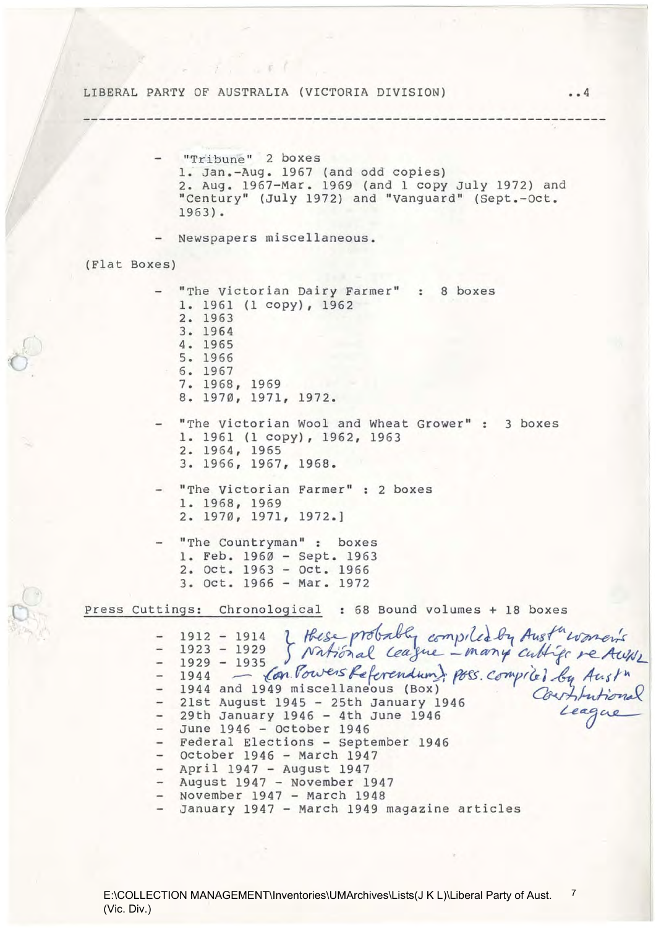LIBERAL PARTY OF AUSTRALIA (VICTORIA DIVISION) •• 4 (Flat Boxes) **"Tribune " 2 boxes**  1: Jan.-Aug. 1967 (and odd copies) 2. Aug. 1967-Mar. 1969 (and 1 copy July 1972) and "Century" (July 1972) and "vanguard" (Sept.-Oct. 1963) • Newspapers miscellaneous. "The Victorian Dairy Farmer" : 8 boxes 1. 1961 (1 copy), 1962 2. 1963 3. 1964 4. 1965 5. 1966 6. 1967 7. 1968, 1969 8. 1970, 1971, 1972. "The Victorian Wool and Wheat Grower" : 3 boxes 1. 1961 (1 copy), 1962, 1963 2. 1964, 1965 3. 1966, 1967, 1968. "The Victorian Farmer" : 2 boxes 1. 1968, 1969 2. 1970, 1971, 1972.] "The Countryman": boxes 1. Feb. 1960 - sept. 1963 2. oct. 1963 - Oct. 1966 3. Oct. 1966 - Mar. 1972 press Cuttings: Chronological : 68 Bound volumes + 18 boxes 9s: Chronological: 68 Bound volumes + 18 boxes<br>1912 - 1914 J Hese probably compiled by Aust<sup>in</sup> women's<br>1923 - 1929 J National Ceague - many cubbiser re Awni 1929 - 1935 Con Powers Referendum) poss. Compriet by Aust<sup>n</sup><br>1944 and 1949 miscellaneous (Box) ... Compriet by Aust<sup>n</sup> 21st August 1945 - 25th January 1946 29th January 1946 - 4th June 1946 *League* June 1946 - October 1946 - Federal Elections - September 1946 October 1946 - March 1947 April 1947 - August 1947 - August 1947 - November 1947 - November 1947 - March 1948 January 1947 - March 1949 magazine articles

,

(

(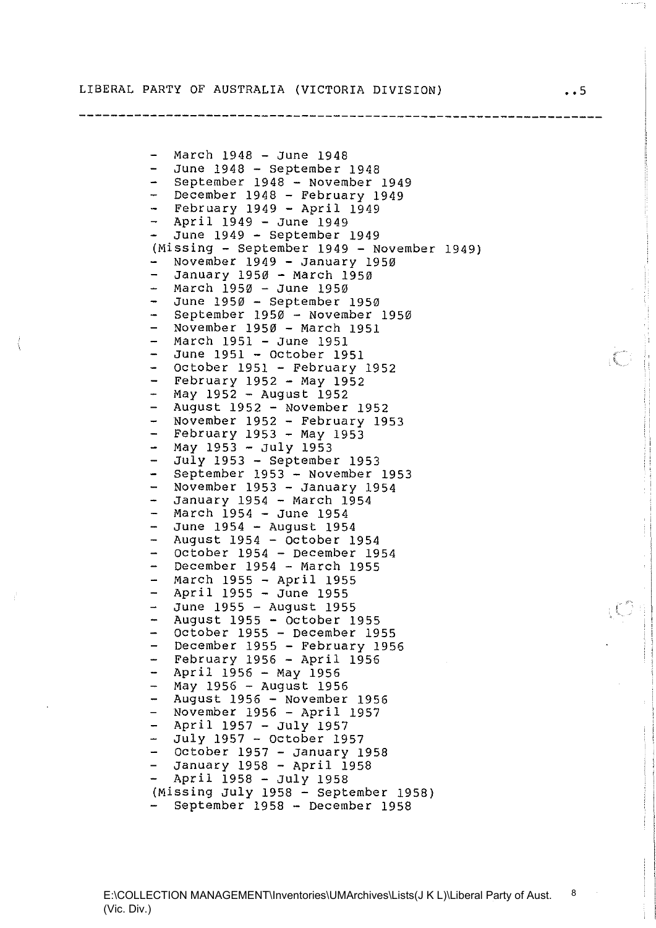**------------------------------------------------------------------**

March 1948 - June 1948 June 1948 - September 1948 September 1948 - November 1949  $\frac{1}{2}$  $\sim$ December 1948 - February 1949 February  $1949$  - April  $1949$ April 1949 - June 1949 June 1949 - September 1949 (Missing - September 1949 - November 1949) November 1949 - January 1950 January 1950 - March 1950  $\overline{\phantom{0}}$  $\rightarrow$ March 1950 - June 1950 June 1950 - September 1950 September 1950 - November 1950  $\sim$ November 1950 - March 1951 March 1951 - June 1951 June 1951 - October 1951  $\sim$ October 1951 - February 1952  $\overline{\phantom{0}}$ February 1952 - May 1952  $\ddot{\phantom{1}}$ May 1952 - August 1952 August 1952 - November 1952  $\sim$ November 1952 - February 1953 February 1953 - May 1953  $\Delta$  . May 1953 - July 1953 July 1953 - September 1953  $\equiv$ September 1953 - November 1953  $\equiv$  $\overline{a}$ November 1953 - January 1954 January 1954 - March 1954 March 1954 - June 1954  $\overline{a}$ June 1954 - August 1954 August 1954 - October 1954 October 1954 - December 1954  $\overline{\phantom{0}}$ December 1954 - March 1955 March 1955 - April 1955  $\Delta \omega$  . April 1955 - June 1955 June 1955 - August 1955 August 1955 - October 1955 october 1955 - December 1955 December 1955 - February 1956  $\rightarrow$  $\overline{\phantom{0}}$ February 1956 - April 1956  $\overline{\phantom{0}}$ April 1956 - May 1956 May 1956 - August 1956 August 1956 - November 1956 November 1956 - April 1957 April 1957 - July 1957 July 1957 - October 1957  $\equiv$  $\equiv$ October 1957 - January 1958 January 1958 - April 1958  $\equiv$ April 1958 - July 1958 (Missing July 1958 - September 1958) September 1958 - December 1958

 $\int\limits_{\lambda_1}^{\lambda_2}$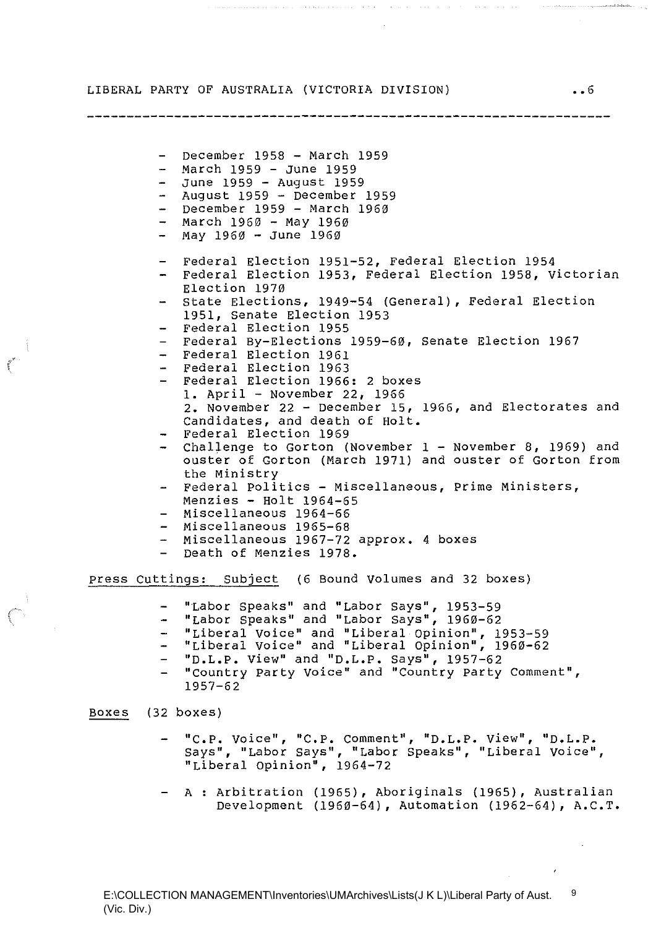- December 1958 - March 1959  $-$  March 1959  $-$  June 1959 - June 1959 - August 1959 August 1959 - December 1959  $-$  December 1959 - March 1960 - March 1960 - May 1960 - May 1960 - June 1960 Federal Election 1951-52, Federal Election 1954 - Federal Election 1953, Federal Election 1958, Victorian Election 1970 - State Elections, 1949-54 (General), Federal Election 1951, Senate Election 1953 Federal Election 1955 Federal By-Elections 1959-60, Senate Election 1967 Federal Election 1961 Federal Election 1963 - Federal Election 1966: 2 boxes **1.** April - November 22, 1966 **2.** November 22 - December 15, 1966, and Electorates and Candidates, and death of Holt. Federal Election 1969 - Challenge to Gorton (November 1 - November 8, 1969) and ouster of Gorton (March 1971) and ouster of Gorton from the Ministry - Federal Politics - Miscellaneous, Prime Ministers, Menzies - Holt 1964-65 Miscellaneous 1964-66 - Miscellaneous 1965-68 Miscellaneous 1967-72 approx. 4 boxes - Death of Menzies 1978. press cuttings: subject (6 Bound Volumes and 32 boxes) "Labor speaks" and "Labor says", 1953-59 "Labor speaks" and "Labor Says", 1960-62 "Liberal Voice" and "Liberal Opinion", 1953-59 "Liberal voice" and "Liberal Opinion", 1960-62 **"D.L.P.** View" and **"D.L.P.** Says", 1957-62 "country party Voice" and "Country party Comment", 1957-62

#### Boxes (32 boxes)

(

- **IfC.p. voice", "e.p. comment", "D.L.P. view", "D.L.P.**  says", "Labor says", "Labor Speaks", "Liberal Voice", "Liberal Opinion", 1964-72
- A : Arbitration (1965), Aboriginals (1965), Australian Development (1960-64), Automation (1962-64), **A.C.T.**

•• 6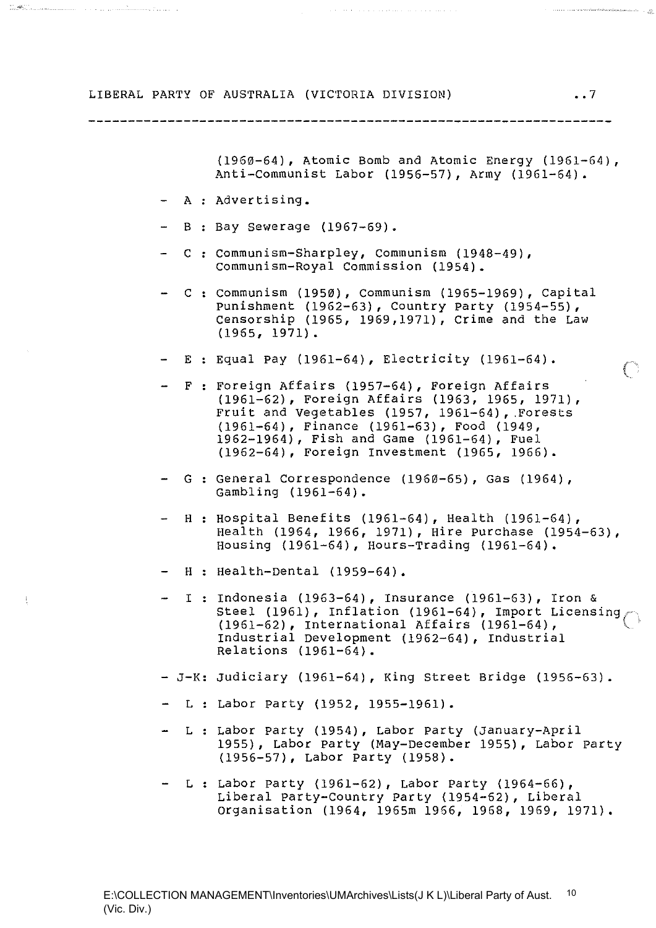#### 

(1960-64), Atomic Bomb and Atomic Energy (1961-64), Anti-communist Labor (1956-57), Army (1961-64).

A : Advertising.

<del>elle Communication de la communication de la communication de la com</del>

- B : Bay Sewerage (1967-69).
- C : Communism-Sharpley, Communism (1948-49), communism-Royal Commission (1954).
- $C$ : Communism (1950), Communism (1965-1969), Capital punishment (1962-63), Country party (1954-55), Censorship (1965, 1969,1971), Crime and the Law (1965, 1971).
- E Equal pay (1961-64), Electricity (1961-64).
- F : Foreign Affairs (1957-64), Foreign Affairs (1961-62), Foreign Affairs (1963, 1965, 1971), Fruit and Vegetables (1957, 1961-64), Forests (1961-64), Finance (1961-63), Food (1949, 1962-1964), Fish and Game (1961-64), Fuel (1962-64), Foreign Investment (1965, 1966).
- G : General Correspondence (1960-65), Gas (1964), Gambling (1961-64).
- H : Hospital Benefits (1961-64), Health (1961-64), Health (1964, 1966, 1971), Hire purchase (1954-63), Housing (1961-64), Hours-Trading (1961-64).
- H : Health-Dental (1959-64).
- $-I$  : Indonesia (1963-64), Insurance (1961-63), Iron & Steel (1961), Inflation (1961-64), Import Licensing (1961-62), International Affairs (1961-64), Industrial Development (1962-64), Industrial Relations (1961-64).
- J-K: Judiciary (1961-64), King street Bridge (1956-63).
- L Labor party (1952, 1955-1961).
- L Labor party (1954), Labor party (January-April 1955), Labor party (May-December 1955), Labor party (1956-57), Labor party (1958).
- L Labor party (1961-62), Labor party (1964-66), Liberal party-Country Party (1954-62), Liberal organisation (1964, 1965m 1966, 1958, 1969, 1971).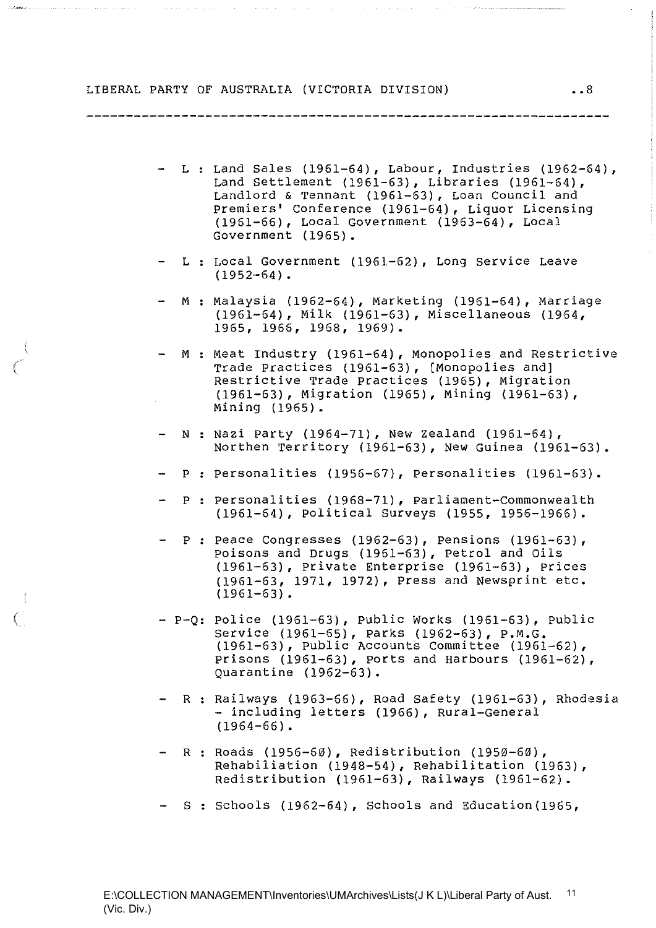المتحدث والمتعاهد المتابع

المتعاقبات

المنافر المتحد والمناول والمتناول وليتوسط المتمنعة المتحدة والمتحدة

- L : Land Sales (1961-64), Labour, Industries (1962-64), Land Settlement (1961-63), Libraries (1961-64), Landlord & Tennant (1961-63), Loan Council and premiers' Conference (1961-64), Liquor Licensing (1961-66), Local Government (1963-64), Local Government (1965).
- L : Local Government (1961-62), Long Service Leave  $(1952-64)$ .
- M : Malaysia (1962-64), Marketing (1961-64), Marriage (1961-64), Milk (1961-63), Miscellaneous (1964, 1965, 1966, 1968, 1969).
- M : Meat Industry (1961-64), Monopolies and Restrictive Trade Practices (1961-63), [Monopolies and] Restrictive Trade practices (1965), Migration (1961-63), Migration (1965), Mining (1961-63), Mining (1965).
- N : Nazi Party (1964-71), New Zealand (1961-64), Northen Territory (1961-63), New Guinea (1961-63).
- P : personalities (1956-67), personalities (1961-63).
- P : Personalities (1968-71), Parliament-Commonwealth (1961-64), political Surveys (1955, 1956-1966).
- $P$ : Peace Congresses (1962-63), Pensions (1961-63), poisons and Drugs (1961-63), petrol and Oils (1961-63), private Enterprise (1961-63), prices (1961-63, 1971, 1972), Press and Newsprint etc.  $(1961-63)$ .
- P-Q: police (1961-63), public Works (1961-63), public Service (1961-65), parks (1962-63), P.M.G. (1961-63), Public Accounts Committee (1961-62), prisons (1961-63), ports and Harbours (1961-62), Quarantine (1962-63).
- R : Railways (1963-66), Road Safety (1961-63), Rhodesia - including letters (1966), Rural-General  $(1964-66)$ .
- R : Roads (1956-60), Redistribution (1950-60), Rehabiliation (1948-54), Rehabilitation (1963), Redistribution (1961-63), Railways (1961-62).
- S : Schools (1962-64), Schools and Education(1965,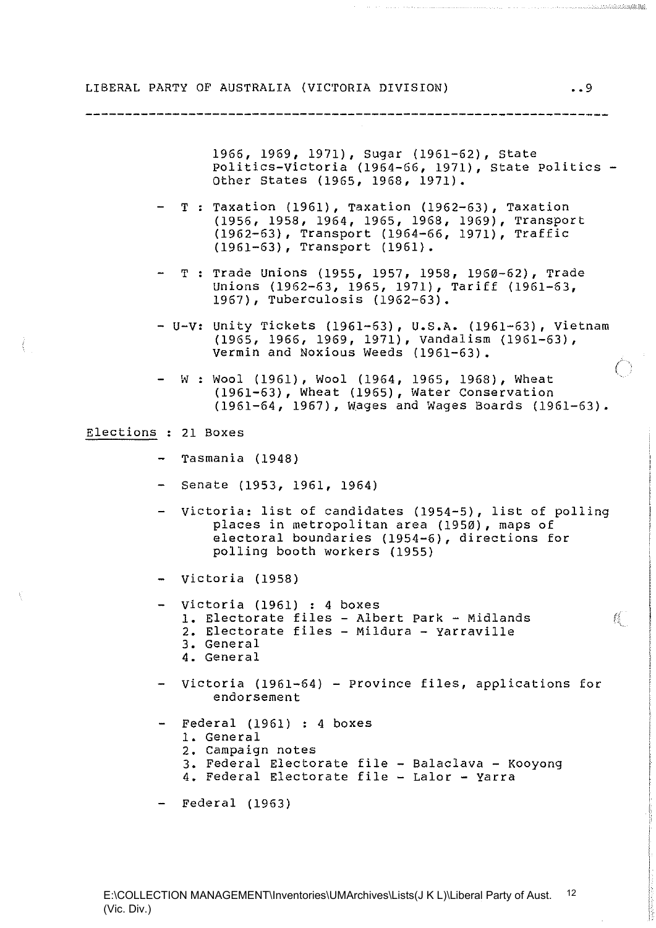1966,1969, 1971), sugar (1961-62), State politics-victoria (1964-66, 1971), state Politics - Other States (1965, 1968, 1971).

 $-$  T: Taxation (1961), Taxation (1962-63), Taxation (1956, 1958, 1964, 1965, 1968, 1969), Transport (1962-63), Transport (1964-66, 1971), Traffic (1961-63), Transport (1961).

- T : Trade Unions (1955, 1957, 1958, 1960-62), Trade Unions (1962-63, 1965, 1971), Tariff (1961-63, 1967), Tuberculosis (1962-63).
- U-V: unity Tickets (1961-63), **U.S.A.** (1961-63), Vietnam (1965, 1966, 1969, 1971), Vandalism (1961-63), Vermin and Noxious Weeds (1961-63).
- $-W: Wood (1961)$ , Wool (1964, 1965, 1968), Wheat (1961-63), Wheat (1965), Water Conservation (1961-64,1967), wages and Wages Boards (1961-63).

Elections : 21 Boxes

- Tasmania (1948)
- Senate (1953, 1961, 1964)
- Victoria: list of candidates (1954-5), list of polling places in metropolitan area (1950), maps of electoral boundaries (1954-6), directions for polling booth workers (1955)
- Victoria (1958)
- Victoria (1961) : 4 boxes **1.** Electorate files - Albert Park - Midlands **2.** Electorate files - Mildura - yarraville **3.** General **4.** General
- Victoria (1961-64) Province files, applications for endorsement
- Federal (1961) : 4 boxes **1.** General **2.** Campaign notes
	- **3.** Federal Electorate file Balaclava Kooyong **4.** Federal Electorate file - Lalor - Yarra
	-

- Federal (1963)

 $\mathbb{N}$ 

and a common common common common common common common common common common common common common common common<br>Service common common common common common common common common common common common common common common comm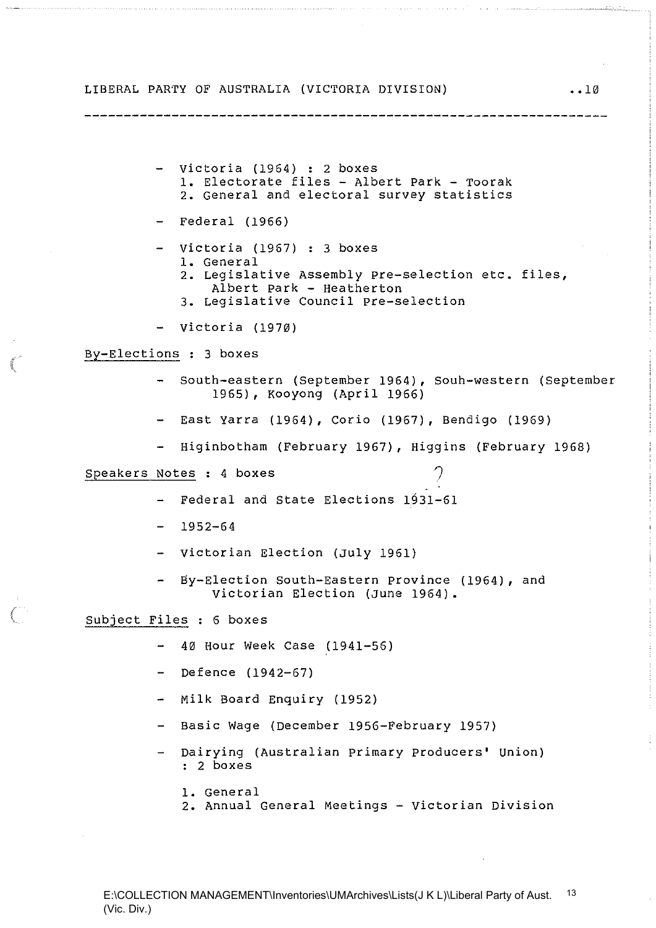- victoria (1964) : 2 boxes **1.** Electorate files - Albert park - Toorak **2.** General and electoral survey statistics
- Federal (1966)
- $-$  Victoria (1967) : 3 boxes 1. General
	- **2.** Legislative Assembly pre-selection etc. files, Albert park - Heatherton

• **• 10** 

- **3.** Legislative Council pre-selection
- Victoria (1970)

By-Elections : 3 boxes

- south-eastern (September 1964), Souh-western (September 1965), Kooyong (April 1966)
- East Yarra (1964), Corio (1967), Bendigo (1969)
- Higinbotham (February 1967), Higgins (February 1968)  $\frac{1}{2}$

Speakers Notes : 4 boxes

- $-$  Federal and State Elections  $1931-61$
- $-1952-64$
- Victorian Election (July 1961)
- By-Election South-Eastern Province (1964), and Victorian Election (June 1964).

Subject Files : 6 boxes

- 40 Hour Week Case (1941-56)
- $-$  Defence (1942-67)
- Milk Board Enquiry (1952)
- $\frac{1}{2}$  and  $\frac{1}{2}$ Basic Wage (December 1956-February 1957)
- Dairying (Australian primary Producers' Union) : 2 boxes
	- 1. General
	- **2.** Annual General Meetings Victorian Division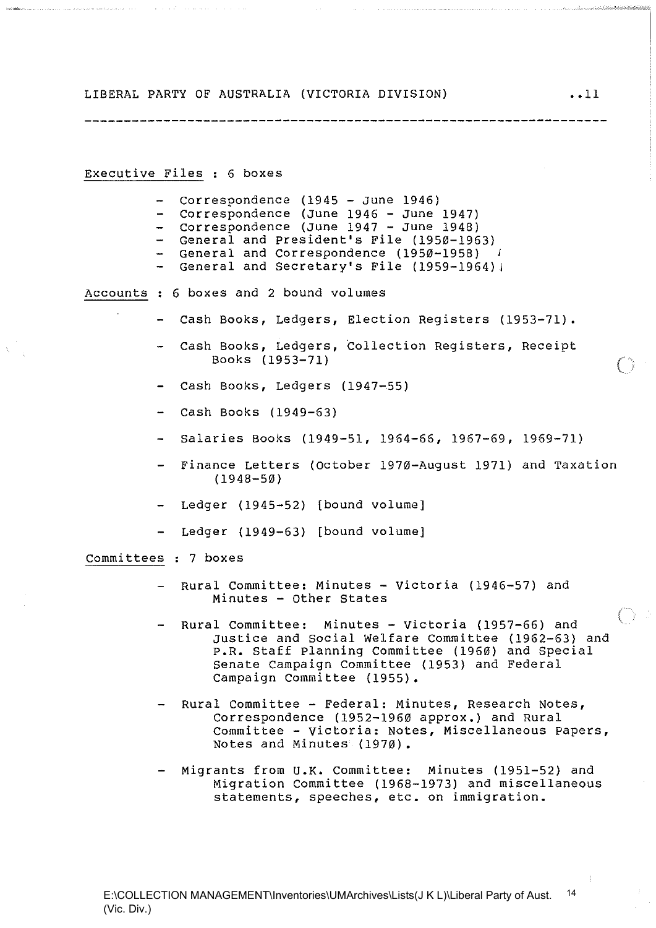-----------------------------

Executive Files : 6 boxes

semining and construction of the construction of the construction of the construction of

- Correspondence (1945 June 1946)
- Correspondence (June 1946 June 1947)
- Correspondence (June 1947 June 1948)
- General and President's File (1950-1963)
- General and Correspondence (1950-1958) J
- General and Secretary's File (1959-1964);

Accounts 6 boxes and 2 bound volumes

- Cash Books, Ledgers, Election Reqisters (1953-71).
- Cash Books, Ledgers, Collection Registers, Receipt Books (1953-71) (
- Cash Books, Ledgers (1947-55)
- Cash Books (1949-63)
- Salaries Books (1949-51, 1964-66, 1967-69, 1969-71)
- Finance Letters (October 1970-August 1971) and Taxation (1948-50)
- Ledger (1945-52) [bound volume]
- Ledger (1949-63) [bound volume]

Committees: 7 boxes

- Rural Committee: Minutes Victoria (1946-57) and Minutes - other States
- Rural Committee: Minutes Victoria (1957-66) and Justice and Social Welfare Committee (1962-63) and **P.R.** Staff Planning Committee (1960) and Special Senate Campaign Committee (1953) and Federal campaign Committee (1955).
- Rural Committee Federal: Minutes, Research Notes, Correspondence (1952-1960 approx.) and Rural Committee - Victoria: Notes, Miscellaneous papers, Notes and Minutes (1970).
- Migrants from **U.K.** Committee: Minutes (1951-52) and Migration Committee (1968-1973) and miscellaneous statements, speeches, etc. on immigration.

 $\bigcap$  :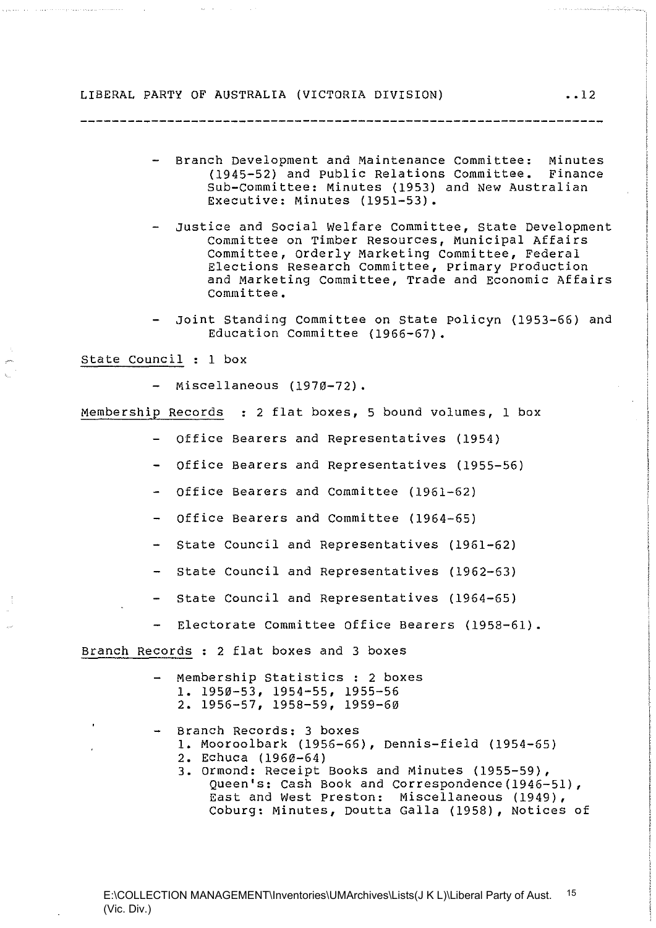- Branch Development and Maintenance Committee: Minutes (1945-52) and Public Relations Committee. Finance Sub-Committee: Minutes (1953) and New Australian Executive: Minutes (1951-53).
- Justice and Social Welfare committee, State Development Committee on Timber Resources, Municipal Affairs Committee, orderly Marketing Committee, Federal Elections Research Committee, primary production and Marketing Committee, Trade and Economic Affairs Committee.
- Joint Standing Committee on state po1icyn (1953-66) and Education Committee (1966-67).

state council : 1 box

- Miscellaneous (1970-72).

Membership Records : 2 flat boxes, 5 bound volumes, 1 box

- Office Bearers and Representatives (1954)
- Office Bearers and Representatives (1955-56)
- Office Bearers and Committee (1961-62)
- office Bearers and Committee (1964-65)
- State Council and Representatives (1961-62)
- State Council and Representatives (1962-63)
- State Council and Representatives (1964-65)
- Electorate Committee Office Bearers (1958-61).

Branch Records : 2 flat boxes and 3 boxes

- Membership Statistics : 2 boxes 1. 1950-53, 1954-55, 1955-56 2. 1956-57, 1958-59, 1959-60
- Branch Records: 3 boxes
	- 1. Mooroo1bark (1956-66), Dennis-field (1954-65)
	- 2. Echuca (1960-64)
	- 3. ormond: Receipt Books and Minutes (1955-59), Queen's: Cash Book and correspondence(1946-51), East and West preston: Miscellaneous (1949), Coburg: Minutes, Doutta Galla (1958), Notices of